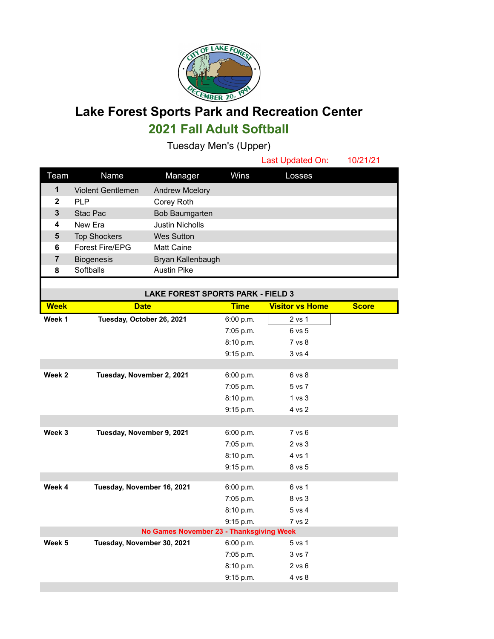

## **Lake Forest Sports Park and Recreation Center 2021 Fall Adult Softball**

Tuesday Men's (Upper)

|      |                        |                        |      | Last Updated On: | 10/21/21 |
|------|------------------------|------------------------|------|------------------|----------|
| Team | Name                   | Manager                | Wins | Losses           |          |
| 1    | Violent Gentlemen      | <b>Andrew Mcelory</b>  |      |                  |          |
| 2    | <b>PLP</b>             | Corey Roth             |      |                  |          |
| 3    | Stac Pac               | Bob Baumgarten         |      |                  |          |
| 4    | New Fra                | <b>Justin Nicholls</b> |      |                  |          |
| 5    | <b>Top Shockers</b>    | <b>Wes Sutton</b>      |      |                  |          |
| 6    | <b>Forest Fire/EPG</b> | <b>Matt Caine</b>      |      |                  |          |
| 7    | <b>Biogenesis</b>      | Bryan Kallenbaugh      |      |                  |          |
| 8    | Softballs              | <b>Austin Pike</b>     |      |                  |          |

| <b>LAKE FOREST SPORTS PARK - FIELD 3</b> |                            |             |                        |              |  |  |  |  |
|------------------------------------------|----------------------------|-------------|------------------------|--------------|--|--|--|--|
| <b>Week</b>                              | <b>Date</b>                | <b>Time</b> | <b>Visitor vs Home</b> | <b>Score</b> |  |  |  |  |
| Week 1                                   | Tuesday, October 26, 2021  | 6:00 p.m.   | 2 vs 1                 |              |  |  |  |  |
|                                          |                            | 7:05 p.m.   | 6 vs 5                 |              |  |  |  |  |
|                                          |                            | 8:10 p.m.   | 7 vs 8                 |              |  |  |  |  |
|                                          |                            | 9:15 p.m.   | 3 vs 4                 |              |  |  |  |  |
|                                          |                            |             |                        |              |  |  |  |  |
| Week 2                                   | Tuesday, November 2, 2021  | 6:00 p.m.   | 6 vs 8                 |              |  |  |  |  |
|                                          |                            | 7:05 p.m.   | 5 vs 7                 |              |  |  |  |  |
|                                          |                            | 8:10 p.m.   | 1 vs 3                 |              |  |  |  |  |
|                                          |                            | 9:15 p.m.   | 4 vs 2                 |              |  |  |  |  |
|                                          |                            |             |                        |              |  |  |  |  |
| Week 3                                   | Tuesday, November 9, 2021  | 6:00 p.m.   | 7 vs 6                 |              |  |  |  |  |
|                                          |                            | 7:05 p.m.   | 2 vs 3                 |              |  |  |  |  |
|                                          |                            | 8:10 p.m.   | 4 vs 1                 |              |  |  |  |  |
|                                          |                            | 9:15 p.m.   | 8 vs 5                 |              |  |  |  |  |
|                                          |                            |             |                        |              |  |  |  |  |
| Week 4                                   | Tuesday, November 16, 2021 | 6:00 p.m.   | 6 vs 1                 |              |  |  |  |  |
|                                          |                            | 7:05 p.m.   | 8 vs 3                 |              |  |  |  |  |
|                                          |                            | 8:10 p.m.   | 5 vs 4                 |              |  |  |  |  |
|                                          |                            | 9:15 p.m.   | 7 vs 2                 |              |  |  |  |  |
| No Games November 23 - Thanksgiving Week |                            |             |                        |              |  |  |  |  |
| Week 5                                   | Tuesday, November 30, 2021 | 6:00 p.m.   | 5 vs 1                 |              |  |  |  |  |
|                                          |                            | $7:05$ p.m. | 3 vs 7                 |              |  |  |  |  |
|                                          |                            | 8:10 p.m.   | $2$ vs $6$             |              |  |  |  |  |
|                                          |                            | 9:15 p.m.   | 4 vs 8                 |              |  |  |  |  |
|                                          |                            |             |                        |              |  |  |  |  |